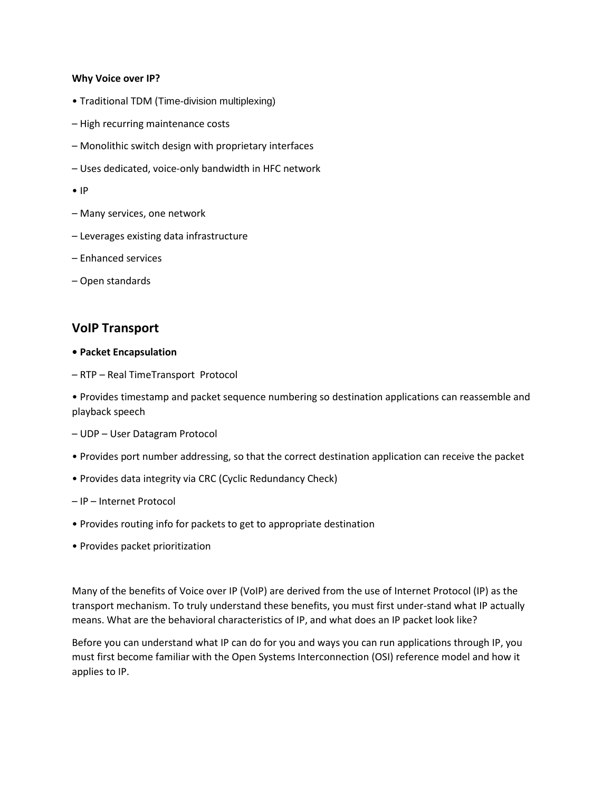#### **Why Voice over IP?**

- Traditional TDM (Time-division multiplexing)
- High recurring maintenance costs
- Monolithic switch design with proprietary interfaces
- Uses dedicated, voice-only bandwidth in HFC network
- IP
- Many services, one network
- Leverages existing data infrastructure
- Enhanced services
- Open standards

## **VoIP Transport**

#### **• Packet Encapsulation**

– RTP – Real TimeTransport Protocol

• Provides timestamp and packet sequence numbering so destination applications can reassemble and playback speech

- UDP User Datagram Protocol
- Provides port number addressing, so that the correct destination application can receive the packet
- Provides data integrity via CRC (Cyclic Redundancy Check)
- IP Internet Protocol
- Provides routing info for packets to get to appropriate destination
- Provides packet prioritization

Many of the benefits of Voice over IP (VoIP) are derived from the use of Internet Protocol (IP) as the transport mechanism. To truly understand these benefits, you must first under-stand what IP actually means. What are the behavioral characteristics of IP, and what does an IP packet look like?

Before you can understand what IP can do for you and ways you can run applications through IP, you must first become familiar with the Open Systems Interconnection (OSI) reference model and how it applies to IP.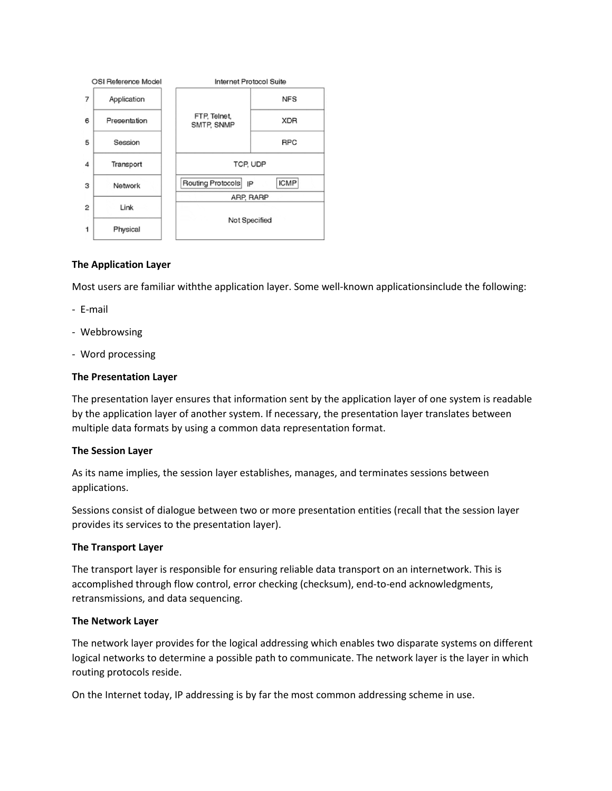

### **The Application Layer**

Most users are familiar withthe application layer. Some well-known applicationsinclude the following:

- E-mail
- Webbrowsing
- Word processing

#### **The Presentation Layer**

The presentation layer ensures that information sent by the application layer of one system is readable by the application layer of another system. If necessary, the presentation layer translates between multiple data formats by using a common data representation format.

#### **The Session Layer**

As its name implies, the session layer establishes, manages, and terminates sessions between applications.

Sessions consist of dialogue between two or more presentation entities (recall that the session layer provides its services to the presentation layer).

### **The Transport Layer**

The transport layer is responsible for ensuring reliable data transport on an internetwork. This is accomplished through flow control, error checking (checksum), end-to-end acknowledgments, retransmissions, and data sequencing.

#### **The Network Layer**

The network layer provides for the logical addressing which enables two disparate systems on different logical networks to determine a possible path to communicate. The network layer is the layer in which routing protocols reside.

On the Internet today, IP addressing is by far the most common addressing scheme in use.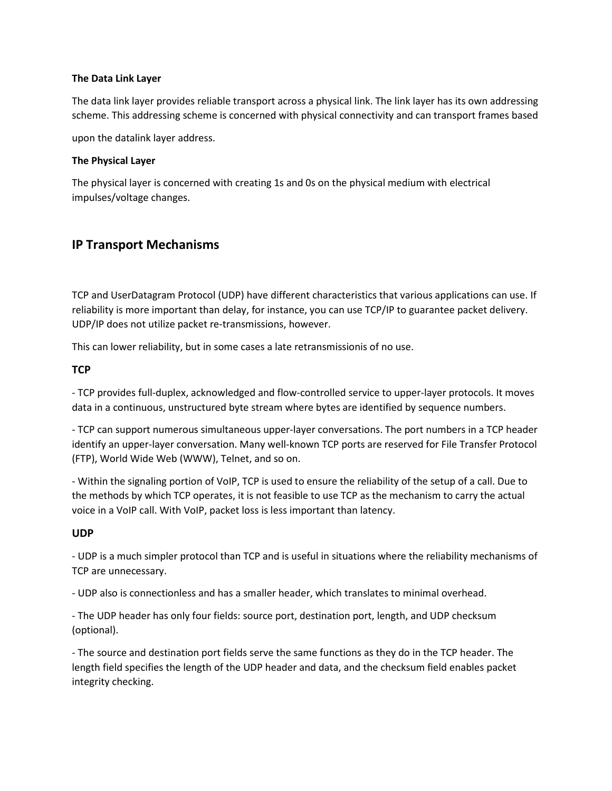### **The Data Link Layer**

The data link layer provides reliable transport across a physical link. The link layer has its own addressing scheme. This addressing scheme is concerned with physical connectivity and can transport frames based

upon the datalink layer address.

### **The Physical Layer**

The physical layer is concerned with creating 1s and 0s on the physical medium with electrical impulses/voltage changes.

## **IP Transport Mechanisms**

TCP and UserDatagram Protocol (UDP) have different characteristics that various applications can use. If reliability is more important than delay, for instance, you can use TCP/IP to guarantee packet delivery. UDP/IP does not utilize packet re-transmissions, however.

This can lower reliability, but in some cases a late retransmissionis of no use.

### **TCP**

- TCP provides full-duplex, acknowledged and flow-controlled service to upper-layer protocols. It moves data in a continuous, unstructured byte stream where bytes are identified by sequence numbers.

- TCP can support numerous simultaneous upper-layer conversations. The port numbers in a TCP header identify an upper-layer conversation. Many well-known TCP ports are reserved for File Transfer Protocol (FTP), World Wide Web (WWW), Telnet, and so on.

- Within the signaling portion of VoIP, TCP is used to ensure the reliability of the setup of a call. Due to the methods by which TCP operates, it is not feasible to use TCP as the mechanism to carry the actual voice in a VoIP call. With VoIP, packet loss is less important than latency.

### **UDP**

- UDP is a much simpler protocol than TCP and is useful in situations where the reliability mechanisms of TCP are unnecessary.

- UDP also is connectionless and has a smaller header, which translates to minimal overhead.

- The UDP header has only four fields: source port, destination port, length, and UDP checksum (optional).

- The source and destination port fields serve the same functions as they do in the TCP header. The length field specifies the length of the UDP header and data, and the checksum field enables packet integrity checking.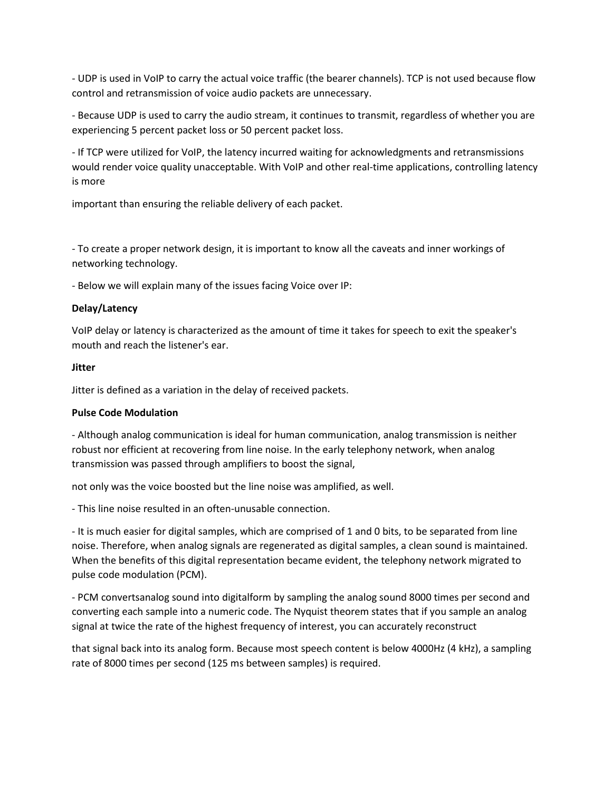- UDP is used in VoIP to carry the actual voice traffic (the bearer channels). TCP is not used because flow control and retransmission of voice audio packets are unnecessary.

- Because UDP is used to carry the audio stream, it continues to transmit, regardless of whether you are experiencing 5 percent packet loss or 50 percent packet loss.

- If TCP were utilized for VoIP, the latency incurred waiting for acknowledgments and retransmissions would render voice quality unacceptable. With VoIP and other real-time applications, controlling latency is more

important than ensuring the reliable delivery of each packet.

- To create a proper network design, it is important to know all the caveats and inner workings of networking technology.

- Below we will explain many of the issues facing Voice over IP:

### **Delay/Latency**

VoIP delay or latency is characterized as the amount of time it takes for speech to exit the speaker's mouth and reach the listener's ear.

### **Jitter**

Jitter is defined as a variation in the delay of received packets.

### **Pulse Code Modulation**

- Although analog communication is ideal for human communication, analog transmission is neither robust nor efficient at recovering from line noise. In the early telephony network, when analog transmission was passed through amplifiers to boost the signal,

not only was the voice boosted but the line noise was amplified, as well.

- This line noise resulted in an often-unusable connection.

- It is much easier for digital samples, which are comprised of 1 and 0 bits, to be separated from line noise. Therefore, when analog signals are regenerated as digital samples, a clean sound is maintained. When the benefits of this digital representation became evident, the telephony network migrated to pulse code modulation (PCM).

- PCM convertsanalog sound into digitalform by sampling the analog sound 8000 times per second and converting each sample into a numeric code. The Nyquist theorem states that if you sample an analog signal at twice the rate of the highest frequency of interest, you can accurately reconstruct

that signal back into its analog form. Because most speech content is below 4000Hz (4 kHz), a sampling rate of 8000 times per second (125 ms between samples) is required.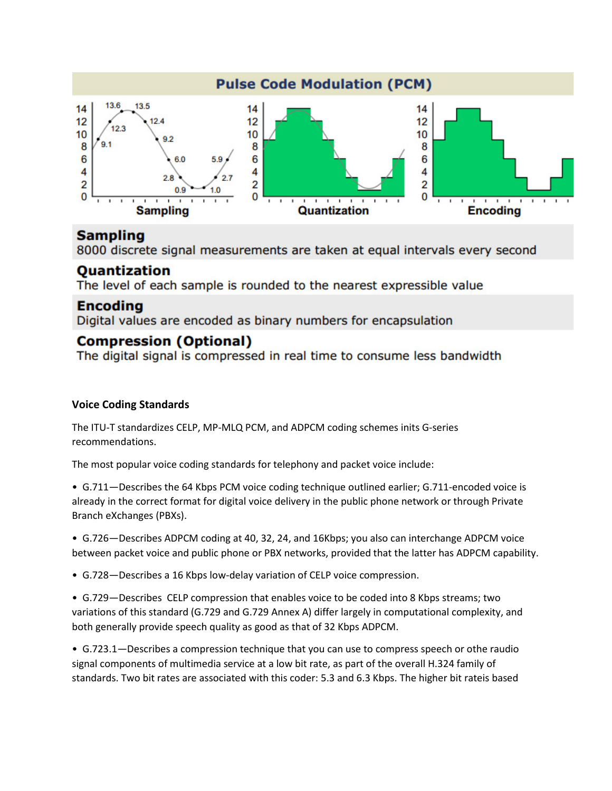

# **Sampling**

8000 discrete signal measurements are taken at equal intervals every second

# **Quantization**

The level of each sample is rounded to the nearest expressible value

# **Encoding**

Digital values are encoded as binary numbers for encapsulation

# **Compression (Optional)**

The digital signal is compressed in real time to consume less bandwidth

## **Voice Coding Standards**

The ITU-T standardizes CELP, MP-MLQ PCM, and ADPCM coding schemes inits G-series recommendations.

The most popular voice coding standards for telephony and packet voice include:

• G.711—Describes the 64 Kbps PCM voice coding technique outlined earlier; G.711-encoded voice is already in the correct format for digital voice delivery in the public phone network or through Private Branch eXchanges (PBXs).

• G.726—Describes ADPCM coding at 40, 32, 24, and 16Kbps; you also can interchange ADPCM voice between packet voice and public phone or PBX networks, provided that the latter has ADPCM capability.

• G.728—Describes a 16 Kbps low-delay variation of CELP voice compression.

• G.729—Describes CELP compression that enables voice to be coded into 8 Kbps streams; two variations of this standard (G.729 and G.729 Annex A) differ largely in computational complexity, and both generally provide speech quality as good as that of 32 Kbps ADPCM.

• G.723.1—Describes a compression technique that you can use to compress speech or othe raudio signal components of multimedia service at a low bit rate, as part of the overall H.324 family of standards. Two bit rates are associated with this coder: 5.3 and 6.3 Kbps. The higher bit rateis based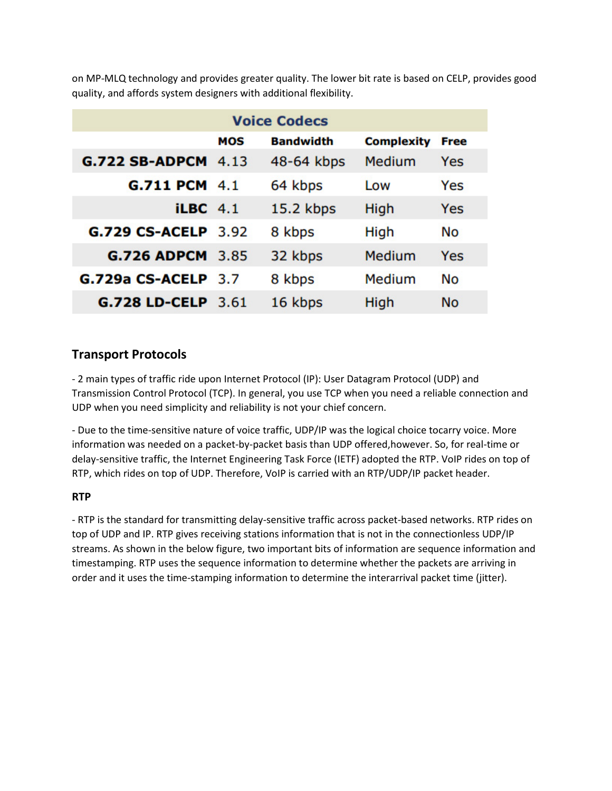on MP-MLQ technology and provides greater quality. The lower bit rate is based on CELP, provides good quality, and affords system designers with additional flexibility.

| <b>Voice Codecs</b>       |            |                  |                   |           |
|---------------------------|------------|------------------|-------------------|-----------|
|                           | <b>MOS</b> | <b>Bandwidth</b> | <b>Complexity</b> | Free      |
| <b>G.722 SB-ADPCM</b>     | 4.13       | 48-64 kbps       | Medium            | Yes       |
| G.711 PCM 4.1             |            | 64 kbps          | Low               | Yes       |
| $i$ LBC 4.1               |            | 15.2 kbps        | High              | Yes       |
| G.729 CS-ACELP            | 3.92       | 8 kbps           | <b>High</b>       | No        |
| G.726 ADPCM               | 3.85       | 32 kbps          | Medium            | Yes       |
| G.729a CS-ACELP           | 3.7        | 8 kbps           | Medium            | No        |
| <b>G.728 LD-CELP</b> 3.61 |            | 16 kbps          | High              | <b>No</b> |

## **Transport Protocols**

- 2 main types of traffic ride upon Internet Protocol (IP): User Datagram Protocol (UDP) and Transmission Control Protocol (TCP). In general, you use TCP when you need a reliable connection and UDP when you need simplicity and reliability is not your chief concern.

- Due to the time-sensitive nature of voice traffic, UDP/IP was the logical choice tocarry voice. More information was needed on a packet-by-packet basis than UDP offered,however. So, for real-time or delay-sensitive traffic, the Internet Engineering Task Force (IETF) adopted the RTP. VoIP rides on top of RTP, which rides on top of UDP. Therefore, VoIP is carried with an RTP/UDP/IP packet header.

### **RTP**

- RTP is the standard for transmitting delay-sensitive traffic across packet-based networks. RTP rides on top of UDP and IP. RTP gives receiving stations information that is not in the connectionless UDP/IP streams. As shown in the below figure, two important bits of information are sequence information and timestamping. RTP uses the sequence information to determine whether the packets are arriving in order and it uses the time-stamping information to determine the interarrival packet time (jitter).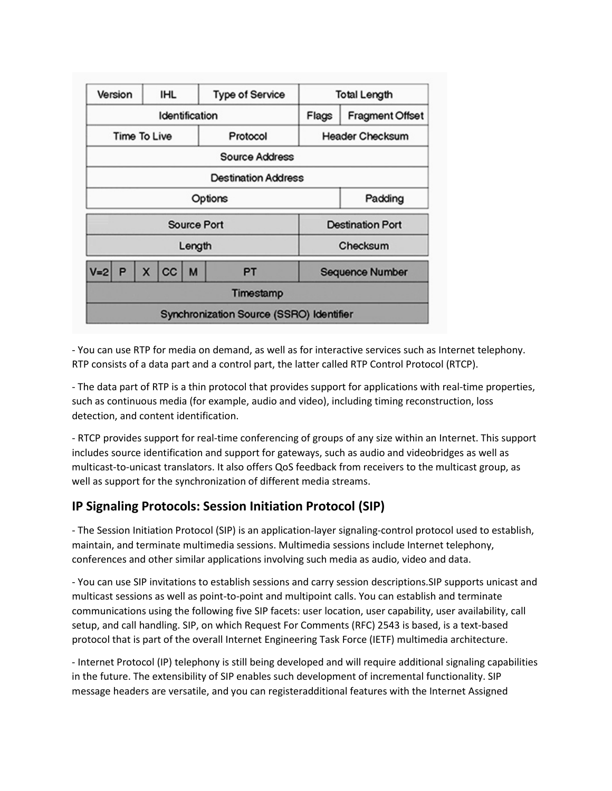| Version     |                                 |              | <b>IHL</b>              |                        | <b>Type of Service</b>                   | <b>Total Length</b>    |  |
|-------------|---------------------------------|--------------|-------------------------|------------------------|------------------------------------------|------------------------|--|
|             | Identification                  |              |                         | Flags                  | <b>Fragment Offset</b>                   |                        |  |
|             | <b>Time To Live</b><br>Protocol |              |                         | <b>Header Checksum</b> |                                          |                        |  |
|             |                                 |              |                         |                        | <b>Source Address</b>                    |                        |  |
|             |                                 |              |                         |                        | <b>Destination Address</b>               |                        |  |
| Options     |                                 |              |                         | Padding                |                                          |                        |  |
| Source Port |                                 |              | <b>Destination Port</b> |                        |                                          |                        |  |
| Length      |                                 |              | Checksum                |                        |                                          |                        |  |
| $V=2$       | P                               | $\mathsf{x}$ | cc                      | M                      | PT                                       | <b>Sequence Number</b> |  |
|             |                                 |              |                         |                        | Timestamp                                |                        |  |
|             |                                 |              |                         |                        | Synchronization Source (SSRO) Identifier |                        |  |

- You can use RTP for media on demand, as well as for interactive services such as Internet telephony. RTP consists of a data part and a control part, the latter called RTP Control Protocol (RTCP).

- The data part of RTP is a thin protocol that provides support for applications with real-time properties, such as continuous media (for example, audio and video), including timing reconstruction, loss detection, and content identification.

- RTCP provides support for real-time conferencing of groups of any size within an Internet. This support includes source identification and support for gateways, such as audio and videobridges as well as multicast-to-unicast translators. It also offers QoS feedback from receivers to the multicast group, as well as support for the synchronization of different media streams.

## **IP Signaling Protocols: Session Initiation Protocol (SIP)**

- The Session Initiation Protocol (SIP) is an application-layer signaling-control protocol used to establish, maintain, and terminate multimedia sessions. Multimedia sessions include Internet telephony, conferences and other similar applications involving such media as audio, video and data.

- You can use SIP invitations to establish sessions and carry session descriptions.SIP supports unicast and multicast sessions as well as point-to-point and multipoint calls. You can establish and terminate communications using the following five SIP facets: user location, user capability, user availability, call setup, and call handling. SIP, on which Request For Comments (RFC) 2543 is based, is a text-based protocol that is part of the overall Internet Engineering Task Force (IETF) multimedia architecture.

- Internet Protocol (IP) telephony is still being developed and will require additional signaling capabilities in the future. The extensibility of SIP enables such development of incremental functionality. SIP message headers are versatile, and you can registeradditional features with the Internet Assigned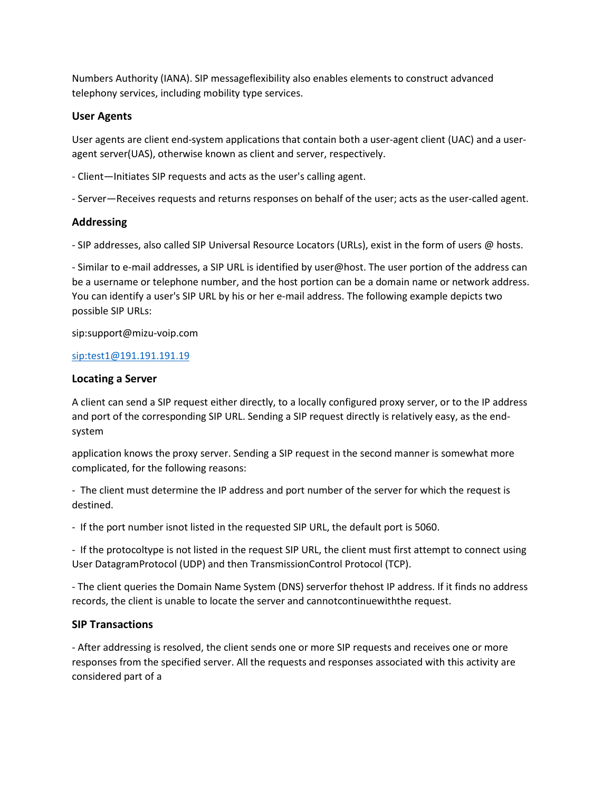Numbers Authority (IANA). SIP messageflexibility also enables elements to construct advanced telephony services, including mobility type services.

### **User Agents**

User agents are client end-system applications that contain both a user-agent client (UAC) and a useragent server(UAS), otherwise known as client and server, respectively.

- Client—Initiates SIP requests and acts as the user's calling agent.

- Server—Receives requests and returns responses on behalf of the user; acts as the user-called agent.

### **Addressing**

- SIP addresses, also called SIP Universal Resource Locators (URLs), exist in the form of users @ hosts.

- Similar to e-mail addresses, a SIP URL is identified by user@host. The user portion of the address can be a username or telephone number, and the host portion can be a domain name or network address. You can identify a user's SIP URL by his or her e-mail address. The following example depicts two possible SIP URLs:

sip:support@mizu-voip.com

### <sip:test1@191.191.191.19>

### **Locating a Server**

A client can send a SIP request either directly, to a locally configured proxy server, or to the IP address and port of the corresponding SIP URL. Sending a SIP request directly is relatively easy, as the endsystem

application knows the proxy server. Sending a SIP request in the second manner is somewhat more complicated, for the following reasons:

- The client must determine the IP address and port number of the server for which the request is destined.

- If the port number isnot listed in the requested SIP URL, the default port is 5060.

- If the protocoltype is not listed in the request SIP URL, the client must first attempt to connect using User DatagramProtocol (UDP) and then TransmissionControl Protocol (TCP).

- The client queries the Domain Name System (DNS) serverfor thehost IP address. If it finds no address records, the client is unable to locate the server and cannotcontinuewiththe request.

### **SIP Transactions**

- After addressing is resolved, the client sends one or more SIP requests and receives one or more responses from the specified server. All the requests and responses associated with this activity are considered part of a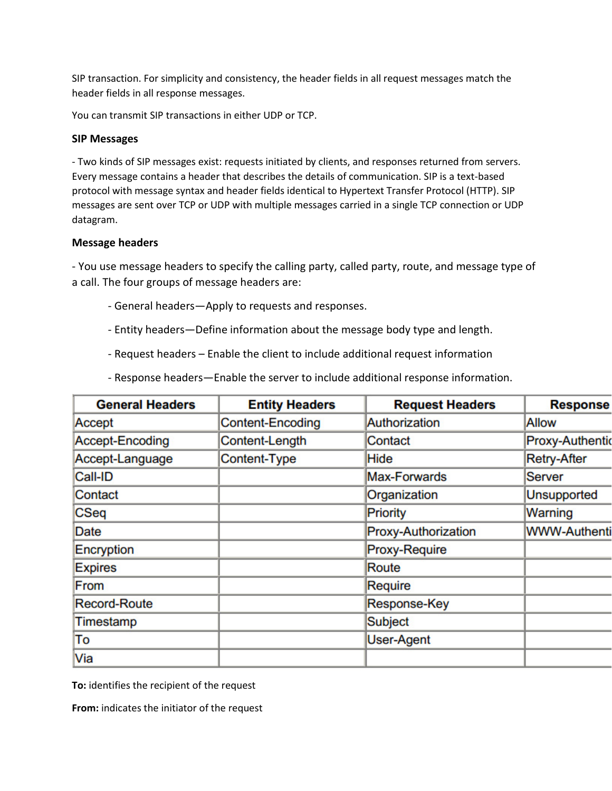SIP transaction. For simplicity and consistency, the header fields in all request messages match the header fields in all response messages.

You can transmit SIP transactions in either UDP or TCP.

### **SIP Messages**

- Two kinds of SIP messages exist: requests initiated by clients, and responses returned from servers. Every message contains a header that describes the details of communication. SIP is a text-based protocol with message syntax and header fields identical to Hypertext Transfer Protocol (HTTP). SIP messages are sent over TCP or UDP with multiple messages carried in a single TCP connection or UDP datagram.

### **Message headers**

- You use message headers to specify the calling party, called party, route, and message type of a call. The four groups of message headers are:

- General headers—Apply to requests and responses.
- Entity headers—Define information about the message body type and length.
- Request headers Enable the client to include additional request information
- Response headers—Enable the server to include additional response information.

| <b>General Headers</b> | <b>Entity Headers</b>   | <b>Request Headers</b> | <b>Response</b>        |
|------------------------|-------------------------|------------------------|------------------------|
| Accept                 | <b>Content-Encoding</b> | Authorization          | <b>Allow</b>           |
| <b>Accept-Encoding</b> | Content-Length          | Contact                | <b>Proxy-Authentio</b> |
| Accept-Language        | Content-Type            | Hide                   | <b>Retry-After</b>     |
| Call-ID                |                         | <b>Max-Forwards</b>    | <b>Server</b>          |
| Contact                |                         | Organization           | <b>Unsupported</b>     |
| <b>CSeq</b>            |                         | Priority               | Warning                |
| <b>Date</b>            |                         | Proxy-Authorization    | <b>WWW-Authenti</b>    |
| Encryption             |                         | <b>Proxy-Require</b>   |                        |
| <b>Expires</b>         |                         | Route                  |                        |
| <b>From</b>            |                         | Require                |                        |
| <b>Record-Route</b>    |                         | <b>Response-Key</b>    |                        |
| Timestamp              |                         | <b>Subject</b>         |                        |
| To                     |                         | <b>User-Agent</b>      |                        |
| Via                    |                         |                        |                        |

**To:** identifies the recipient of the request

**From:** indicates the initiator of the request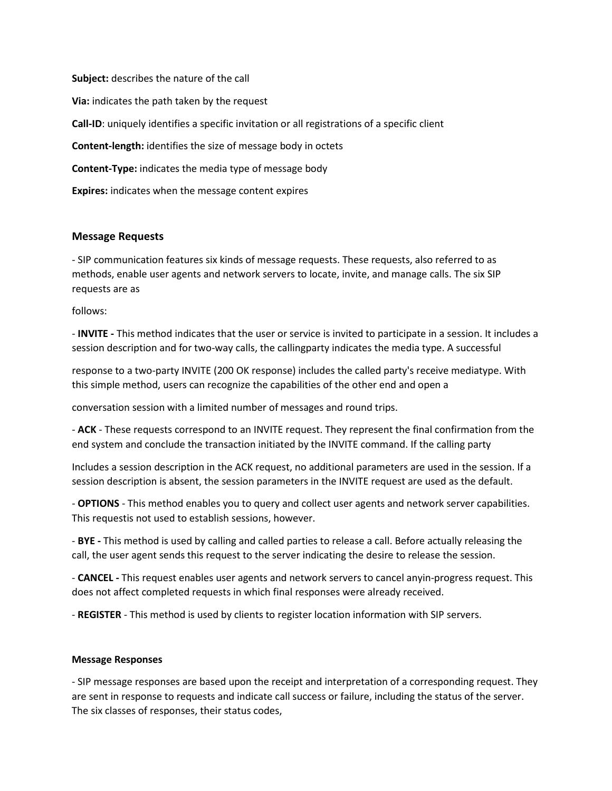**Subject:** describes the nature of the call **Via:** indicates the path taken by the request **Call-ID**: uniquely identifies a specific invitation or all registrations of a specific client **Content-length:** identifies the size of message body in octets **Content-Type:** indicates the media type of message body **Expires:** indicates when the message content expires

### **Message Requests**

- SIP communication features six kinds of message requests. These requests, also referred to as methods, enable user agents and network servers to locate, invite, and manage calls. The six SIP requests are as

follows:

- **INVITE -** This method indicates that the user or service is invited to participate in a session. It includes a session description and for two-way calls, the callingparty indicates the media type. A successful

response to a two-party INVITE (200 OK response) includes the called party's receive mediatype. With this simple method, users can recognize the capabilities of the other end and open a

conversation session with a limited number of messages and round trips.

- **ACK** - These requests correspond to an INVITE request. They represent the final confirmation from the end system and conclude the transaction initiated by the INVITE command. If the calling party

Includes a session description in the ACK request, no additional parameters are used in the session. If a session description is absent, the session parameters in the INVITE request are used as the default.

- **OPTIONS** - This method enables you to query and collect user agents and network server capabilities. This requestis not used to establish sessions, however.

- **BYE -** This method is used by calling and called parties to release a call. Before actually releasing the call, the user agent sends this request to the server indicating the desire to release the session.

- **CANCEL -** This request enables user agents and network servers to cancel anyin-progress request. This does not affect completed requests in which final responses were already received.

- **REGISTER** - This method is used by clients to register location information with SIP servers.

### **Message Responses**

- SIP message responses are based upon the receipt and interpretation of a corresponding request. They are sent in response to requests and indicate call success or failure, including the status of the server. The six classes of responses, their status codes,